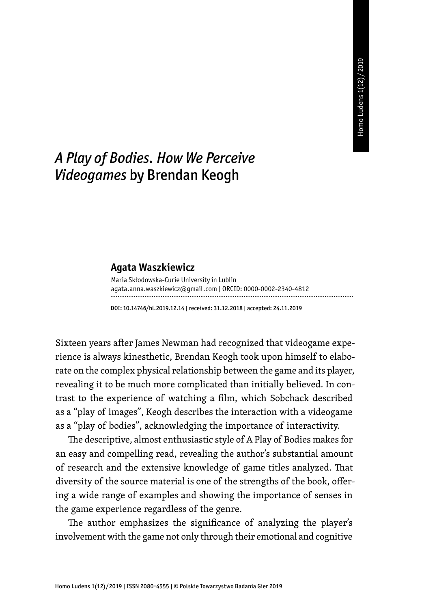## *A Play of Bodies. How We Perceive Videogames* by Brendan Keogh

## **Agata Waszkiewicz**

| Maria Skłodowska-Curie University in Lublin                   |
|---------------------------------------------------------------|
| aqata.anna.waszkiewicz@gmail.com   ORCID: 0000-0002-2340-4812 |
|                                                               |

DOI: 10.14746/hl.2019.12.14 | received: 31.12.2018 | accepted: 24.11.2019

Sixteen years after James Newman had recognized that videogame experience is always kinesthetic, Brendan Keogh took upon himself to elaborate on the complex physical relationship between the game and its player, revealing it to be much more complicated than initially believed. In contrast to the experience of watching a film, which Sobchack described as a "play of images", Keogh describes the interaction with a videogame as a "play of bodies", acknowledging the importance of interactivity.

The descriptive, almost enthusiastic style of A Play of Bodies makes for an easy and compelling read, revealing the author's substantial amount of research and the extensive knowledge of game titles analyzed. That diversity of the source material is one of the strengths of the book, offering a wide range of examples and showing the importance of senses in the game experience regardless of the genre.

The author emphasizes the significance of analyzing the player's involvement with the game not only through their emotional and cognitive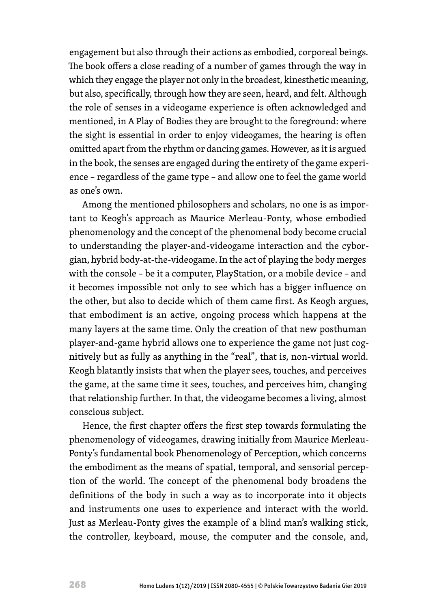engagement but also through their actions as embodied, corporeal beings. The book offers a close reading of a number of games through the way in which they engage the player not only in the broadest, kinesthetic meaning, but also, specifically, through how they are seen, heard, and felt. Although the role of senses in a videogame experience is often acknowledged and mentioned, in A Play of Bodies they are brought to the foreground: where the sight is essential in order to enjoy videogames, the hearing is often omitted apart from the rhythm or dancing games. However, as it is argued in the book, the senses are engaged during the entirety of the game experience – regardless of the game type – and allow one to feel the game world as one's own.

Among the mentioned philosophers and scholars, no one is as important to Keogh's approach as Maurice Merleau-Ponty, whose embodied phenomenology and the concept of the phenomenal body become crucial to understanding the player-and-videogame interaction and the cyborgian, hybrid body-at-the-videogame. In the act of playing the body merges with the console – be it a computer, PlayStation, or a mobile device – and it becomes impossible not only to see which has a bigger influence on the other, but also to decide which of them came first. As Keogh argues, that embodiment is an active, ongoing process which happens at the many layers at the same time. Only the creation of that new posthuman player-and-game hybrid allows one to experience the game not just cognitively but as fully as anything in the "real", that is, non-virtual world. Keogh blatantly insists that when the player sees, touches, and perceives the game, at the same time it sees, touches, and perceives him, changing that relationship further. In that, the videogame becomes a living, almost conscious subject.

Hence, the first chapter offers the first step towards formulating the phenomenology of videogames, drawing initially from Maurice Merleau-Ponty's fundamental book Phenomenology of Perception, which concerns the embodiment as the means of spatial, temporal, and sensorial perception of the world. The concept of the phenomenal body broadens the definitions of the body in such a way as to incorporate into it objects and instruments one uses to experience and interact with the world. Just as Merleau-Ponty gives the example of a blind man's walking stick, the controller, keyboard, mouse, the computer and the console, and,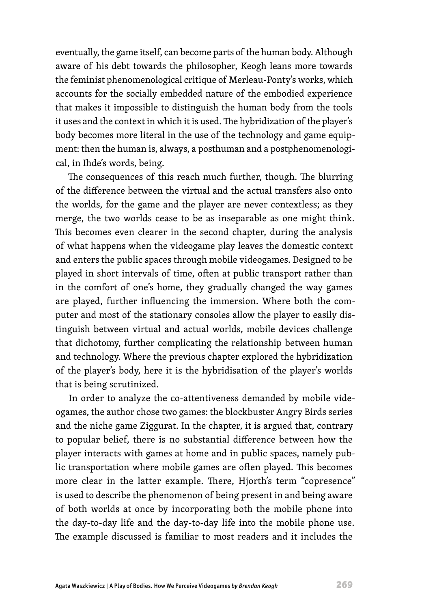eventually, the game itself, can become parts of the human body. Although aware of his debt towards the philosopher, Keogh leans more towards the feminist phenomenological critique of Merleau-Ponty's works, which accounts for the socially embedded nature of the embodied experience that makes it impossible to distinguish the human body from the tools it uses and the context in which it is used. The hybridization of the player's body becomes more literal in the use of the technology and game equipment: then the human is, always, a posthuman and a postphenomenological, in Ihde's words, being.

The consequences of this reach much further, though. The blurring of the difference between the virtual and the actual transfers also onto the worlds, for the game and the player are never contextless; as they merge, the two worlds cease to be as inseparable as one might think. This becomes even clearer in the second chapter, during the analysis of what happens when the videogame play leaves the domestic context and enters the public spaces through mobile videogames. Designed to be played in short intervals of time, often at public transport rather than in the comfort of one's home, they gradually changed the way games are played, further influencing the immersion. Where both the computer and most of the stationary consoles allow the player to easily distinguish between virtual and actual worlds, mobile devices challenge that dichotomy, further complicating the relationship between human and technology. Where the previous chapter explored the hybridization of the player's body, here it is the hybridisation of the player's worlds that is being scrutinized.

In order to analyze the co-attentiveness demanded by mobile videogames, the author chose two games: the blockbuster Angry Birds series and the niche game Ziggurat. In the chapter, it is argued that, contrary to popular belief, there is no substantial difference between how the player interacts with games at home and in public spaces, namely public transportation where mobile games are often played. This becomes more clear in the latter example. There, Hjorth's term "copresence" is used to describe the phenomenon of being present in and being aware of both worlds at once by incorporating both the mobile phone into the day-to-day life and the day-to-day life into the mobile phone use. The example discussed is familiar to most readers and it includes the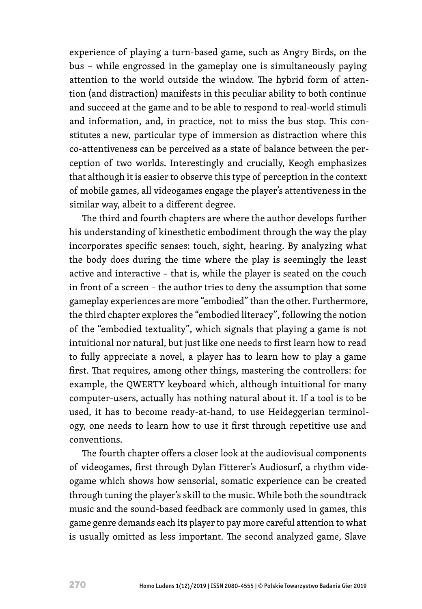experience of playing a turn-based game, such as Angry Birds, on the bus – while engrossed in the gameplay one is simultaneously paying attention to the world outside the window. The hybrid form of attention (and distraction) manifests in this peculiar ability to both continue and succeed at the game and to be able to respond to real-world stimuli and information, and, in practice, not to miss the bus stop. This constitutes a new, particular type of immersion as distraction where this co-attentiveness can be perceived as a state of balance between the perception of two worlds. Interestingly and crucially, Keogh emphasizes that although it is easier to observe this type of perception in the context of mobile games, all videogames engage the player's attentiveness in the similar way, albeit to a different degree.

The third and fourth chapters are where the author develops further his understanding of kinesthetic embodiment through the way the play incorporates specific senses: touch, sight, hearing. By analyzing what the body does during the time where the play is seemingly the least active and interactive – that is, while the player is seated on the couch in front of a screen – the author tries to deny the assumption that some gameplay experiences are more "embodied" than the other. Furthermore, the third chapter explores the "embodied literacy", following the notion of the "embodied textuality", which signals that playing a game is not intuitional nor natural, but just like one needs to first learn how to read to fully appreciate a novel, a player has to learn how to play a game first. That requires, among other things, mastering the controllers: for example, the QWERTY keyboard which, although intuitional for many computer-users, actually has nothing natural about it. If a tool is to be used, it has to become ready-at-hand, to use Heideggerian terminology, one needs to learn how to use it first through repetitive use and conventions.

The fourth chapter offers a closer look at the audiovisual components of videogames, first through Dylan Fitterer's Audiosurf, a rhythm videogame which shows how sensorial, somatic experience can be created through tuning the player's skill to the music. While both the soundtrack music and the sound-based feedback are commonly used in games, this game genre demands each its player to pay more careful attention to what is usually omitted as less important. The second analyzed game, Slave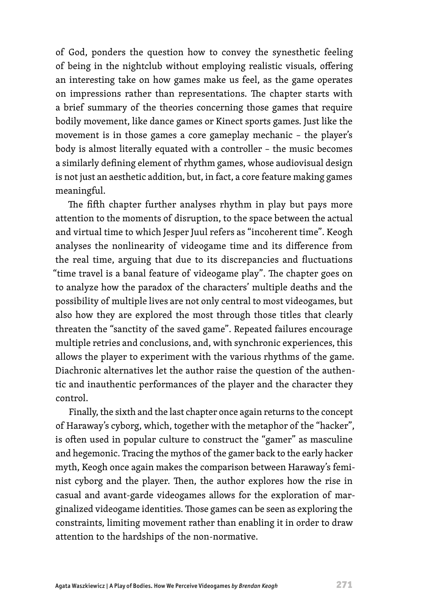of God, ponders the question how to convey the synesthetic feeling of being in the nightclub without employing realistic visuals, offering an interesting take on how games make us feel, as the game operates on impressions rather than representations. The chapter starts with a brief summary of the theories concerning those games that require bodily movement, like dance games or Kinect sports games. Just like the movement is in those games a core gameplay mechanic – the player's body is almost literally equated with a controller – the music becomes a similarly defining element of rhythm games, whose audiovisual design is not just an aesthetic addition, but, in fact, a core feature making games meaningful.

The fifth chapter further analyses rhythm in play but pays more attention to the moments of disruption, to the space between the actual and virtual time to which Jesper Juul refers as "incoherent time". Keogh analyses the nonlinearity of videogame time and its difference from the real time, arguing that due to its discrepancies and fluctuations "time travel is a banal feature of videogame play". The chapter goes on to analyze how the paradox of the characters' multiple deaths and the possibility of multiple lives are not only central to most videogames, but also how they are explored the most through those titles that clearly threaten the "sanctity of the saved game". Repeated failures encourage multiple retries and conclusions, and, with synchronic experiences, this allows the player to experiment with the various rhythms of the game. Diachronic alternatives let the author raise the question of the authentic and inauthentic performances of the player and the character they control.

Finally, the sixth and the last chapter once again returns to the concept of Haraway's cyborg, which, together with the metaphor of the "hacker", is often used in popular culture to construct the "gamer" as masculine and hegemonic. Tracing the mythos of the gamer back to the early hacker myth, Keogh once again makes the comparison between Haraway's feminist cyborg and the player. Then, the author explores how the rise in casual and avant-garde videogames allows for the exploration of marginalized videogame identities. Those games can be seen as exploring the constraints, limiting movement rather than enabling it in order to draw attention to the hardships of the non-normative.